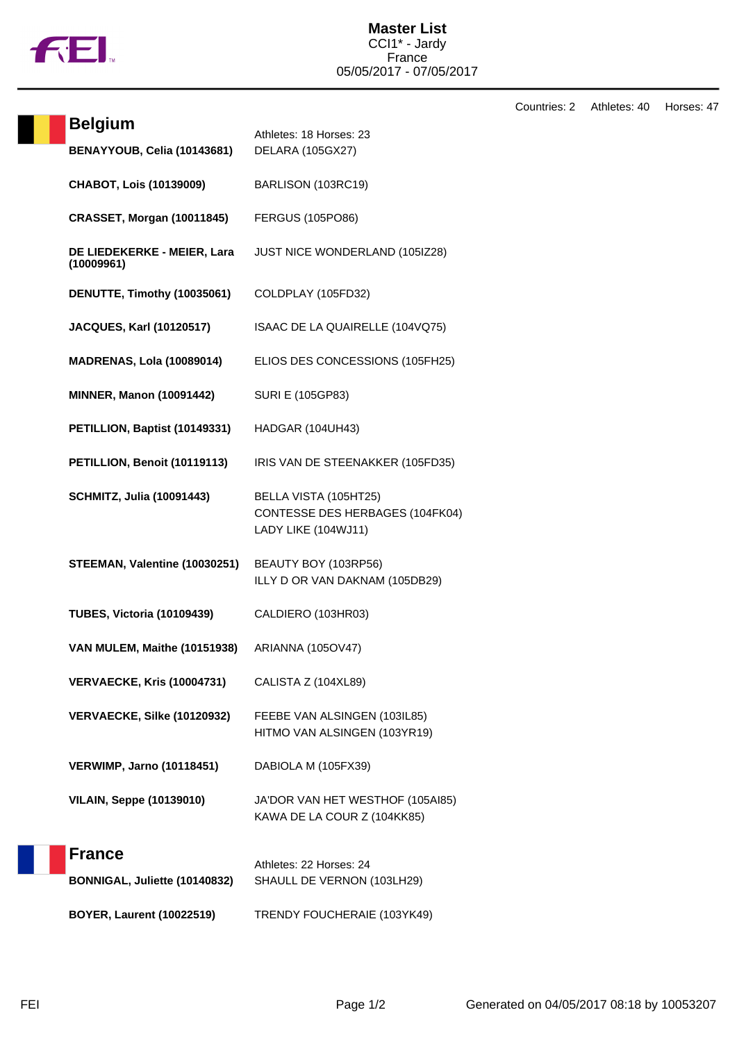

Countries: 2 Athletes: 40 Horses: 47

| <b>Belgium</b>                            | Athletes: 18 Horses: 23                                                         |
|-------------------------------------------|---------------------------------------------------------------------------------|
| BENAYYOUB, Celia (10143681)               | <b>DELARA (105GX27)</b>                                                         |
| <b>CHABOT, Lois (10139009)</b>            | BARLISON (103RC19)                                                              |
| <b>CRASSET, Morgan (10011845)</b>         | <b>FERGUS (105PO86)</b>                                                         |
| DE LIEDEKERKE - MEIER, Lara<br>(10009961) | JUST NICE WONDERLAND (105IZ28)                                                  |
| DENUTTE, Timothy (10035061)               | COLDPLAY (105FD32)                                                              |
| <b>JACQUES, Karl (10120517)</b>           | ISAAC DE LA QUAIRELLE (104VQ75)                                                 |
| <b>MADRENAS, Lola (10089014)</b>          | ELIOS DES CONCESSIONS (105FH25)                                                 |
| <b>MINNER, Manon (10091442)</b>           | <b>SURI E (105GP83)</b>                                                         |
| PETILLION, Baptist (10149331)             | HADGAR (104UH43)                                                                |
| PETILLION, Benoit (10119113)              | IRIS VAN DE STEENAKKER (105FD35)                                                |
| <b>SCHMITZ, Julia (10091443)</b>          | BELLA VISTA (105HT25)<br>CONTESSE DES HERBAGES (104FK04)<br>LADY LIKE (104WJ11) |
| STEEMAN, Valentine (10030251)             | BEAUTY BOY (103RP56)<br>ILLY D OR VAN DAKNAM (105DB29)                          |
| <b>TUBES, Victoria (10109439)</b>         | CALDIERO (103HR03)                                                              |
| VAN MULEM, Maithe (10151938)              | ARIANNA (105OV47)                                                               |
| <b>VERVAECKE, Kris (10004731)</b>         | CALISTA Z (104XL89)                                                             |
| VERVAECKE, Silke (10120932)               | FEEBE VAN ALSINGEN (103IL85)<br>HITMO VAN ALSINGEN (103YR19)                    |
| <b>VERWIMP, Jarno (10118451)</b>          | DABIOLA M (105FX39)                                                             |
| <b>VILAIN, Seppe (10139010)</b>           | JA'DOR VAN HET WESTHOF (105AI85)<br>KAWA DE LA COUR Z (104KK85)                 |
| <b>France</b>                             | Athletes: 22 Horses: 24                                                         |
| BONNIGAL, Juliette (10140832)             | SHAULL DE VERNON (103LH29)                                                      |
| <b>BOYER, Laurent (10022519)</b>          | TRENDY FOUCHERAIE (103YK49)                                                     |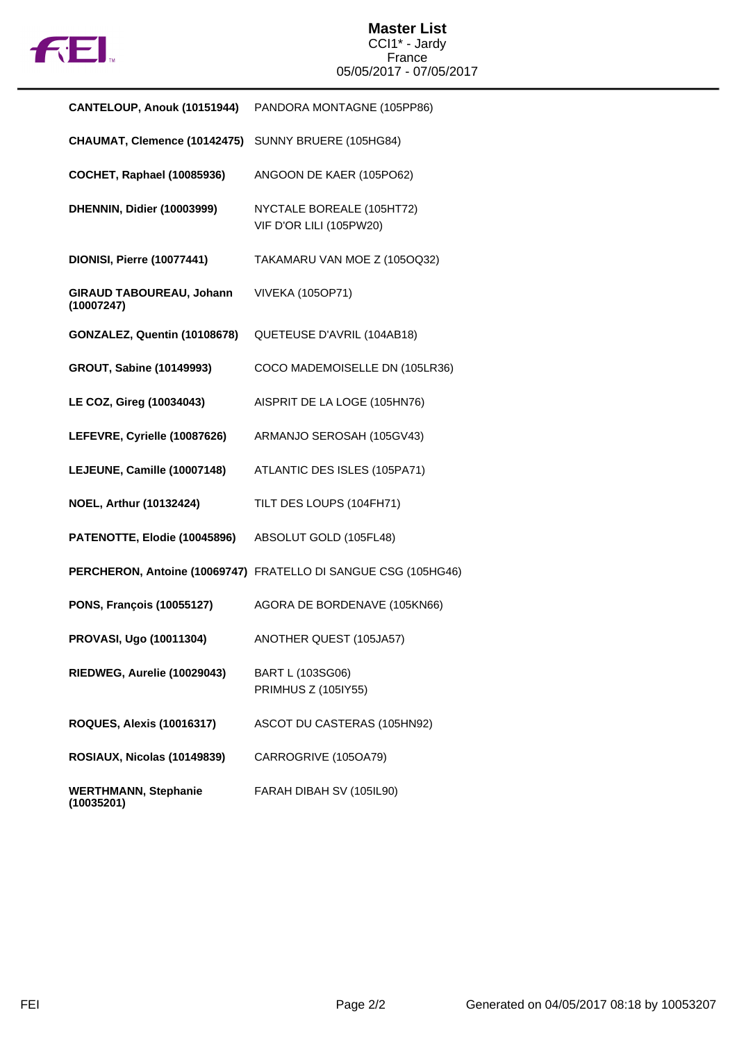

| CANTELOUP, Anouk (10151944)               | PANDORA MONTAGNE (105PP86)                                     |
|-------------------------------------------|----------------------------------------------------------------|
| CHAUMAT, Clemence (10142475)              | SUNNY BRUERE (105HG84)                                         |
| <b>COCHET, Raphael (10085936)</b>         | ANGOON DE KAER (105PO62)                                       |
| DHENNIN, Didier (10003999)                | NYCTALE BOREALE (105HT72)<br>VIF D'OR LILI (105PW20)           |
| <b>DIONISI, Pierre (10077441)</b>         | TAKAMARU VAN MOE Z (105OQ32)                                   |
| GIRAUD TABOUREAU, Johann<br>(10007247)    | <b>VIVEKA (105OP71)</b>                                        |
| GONZALEZ, Quentin (10108678)              | QUETEUSE D'AVRIL (104AB18)                                     |
| <b>GROUT, Sabine (10149993)</b>           | COCO MADEMOISELLE DN (105LR36)                                 |
| LE COZ, Gireg (10034043)                  | AISPRIT DE LA LOGE (105HN76)                                   |
| LEFEVRE, Cyrielle (10087626)              | ARMANJO SEROSAH (105GV43)                                      |
| LEJEUNE, Camille (10007148)               | ATLANTIC DES ISLES (105PA71)                                   |
| NOEL, Arthur (10132424)                   | TILT DES LOUPS (104FH71)                                       |
| PATENOTTE, Elodie (10045896)              | ABSOLUT GOLD (105FL48)                                         |
|                                           | PERCHERON, Antoine (10069747) FRATELLO DI SANGUE CSG (105HG46) |
| <b>PONS, François (10055127)</b>          | AGORA DE BORDENAVE (105KN66)                                   |
| PROVASI, Ugo (10011304)                   | ANOTHER QUEST (105JA57)                                        |
| RIEDWEG, Aurelie (10029043)               | BART L (103SG06)<br>PRIMHUS Z (105IY55)                        |
| <b>ROQUES, Alexis (10016317)</b>          | ASCOT DU CASTERAS (105HN92)                                    |
| ROSIAUX, Nicolas (10149839)               | CARROGRIVE (105OA79)                                           |
| <b>WERTHMANN, Stephanie</b><br>(10035201) | FARAH DIBAH SV (105IL90)                                       |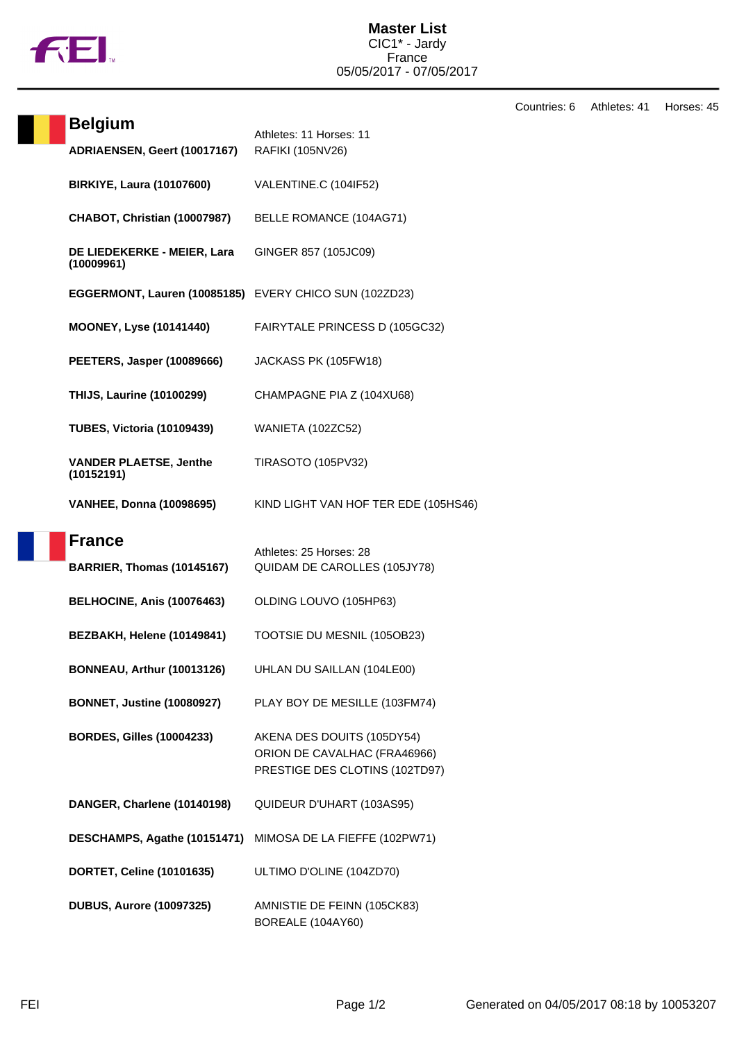

Countries: 6 Athletes: 41 Horses: 45

| <b>Belgium</b>                                         | Athletes: 11 Horses: 11                                                                      |
|--------------------------------------------------------|----------------------------------------------------------------------------------------------|
| ADRIAENSEN, Geert (10017167)                           | RAFIKI (105NV26)                                                                             |
| <b>BIRKIYE, Laura (10107600)</b>                       | VALENTINE.C (104IF52)                                                                        |
| CHABOT, Christian (10007987)                           | BELLE ROMANCE (104AG71)                                                                      |
| DE LIEDEKERKE - MEIER, Lara<br>(10009961)              | GINGER 857 (105JC09)                                                                         |
| EGGERMONT, Lauren (10085185) EVERY CHICO SUN (102ZD23) |                                                                                              |
| <b>MOONEY, Lyse (10141440)</b>                         | FAIRYTALE PRINCESS D (105GC32)                                                               |
| <b>PEETERS, Jasper (10089666)</b>                      | JACKASS PK (105FW18)                                                                         |
| <b>THIJS, Laurine (10100299)</b>                       | CHAMPAGNE PIA Z (104XU68)                                                                    |
| <b>TUBES, Victoria (10109439)</b>                      | WANIETA (102ZC52)                                                                            |
| <b>VANDER PLAETSE, Jenthe</b><br>(10152191)            | <b>TIRASOTO (105PV32)</b>                                                                    |
| <b>VANHEE, Donna (10098695)</b>                        | KIND LIGHT VAN HOF TER EDE (105HS46)                                                         |
| <b>France</b>                                          | Athletes: 25 Horses: 28                                                                      |
| <b>BARRIER, Thomas (10145167)</b>                      | QUIDAM DE CAROLLES (105JY78)                                                                 |
| BELHOCINE, Anis (10076463)                             | OLDING LOUVO (105HP63)                                                                       |
| BEZBAKH, Helene (10149841)                             | TOOTSIE DU MESNIL (105OB23)                                                                  |
| <b>BONNEAU, Arthur (10013126)</b>                      | UHLAN DU SAILLAN (104LE00)                                                                   |
| <b>BONNET, Justine (10080927)</b>                      | PLAY BOY DE MESILLE (103FM74)                                                                |
| <b>BORDES, Gilles (10004233)</b>                       | AKENA DES DOUITS (105DY54)<br>ORION DE CAVALHAC (FRA46966)<br>PRESTIGE DES CLOTINS (102TD97) |
| DANGER, Charlene (10140198)                            | QUIDEUR D'UHART (103AS95)                                                                    |
| DESCHAMPS, Agathe (10151471)                           | MIMOSA DE LA FIEFFE (102PW71)                                                                |
| DORTET, Celine (10101635)                              | ULTIMO D'OLINE (104ZD70)                                                                     |
| <b>DUBUS, Aurore (10097325)</b>                        | AMNISTIE DE FEINN (105CK83)<br>BOREALE (104AY60)                                             |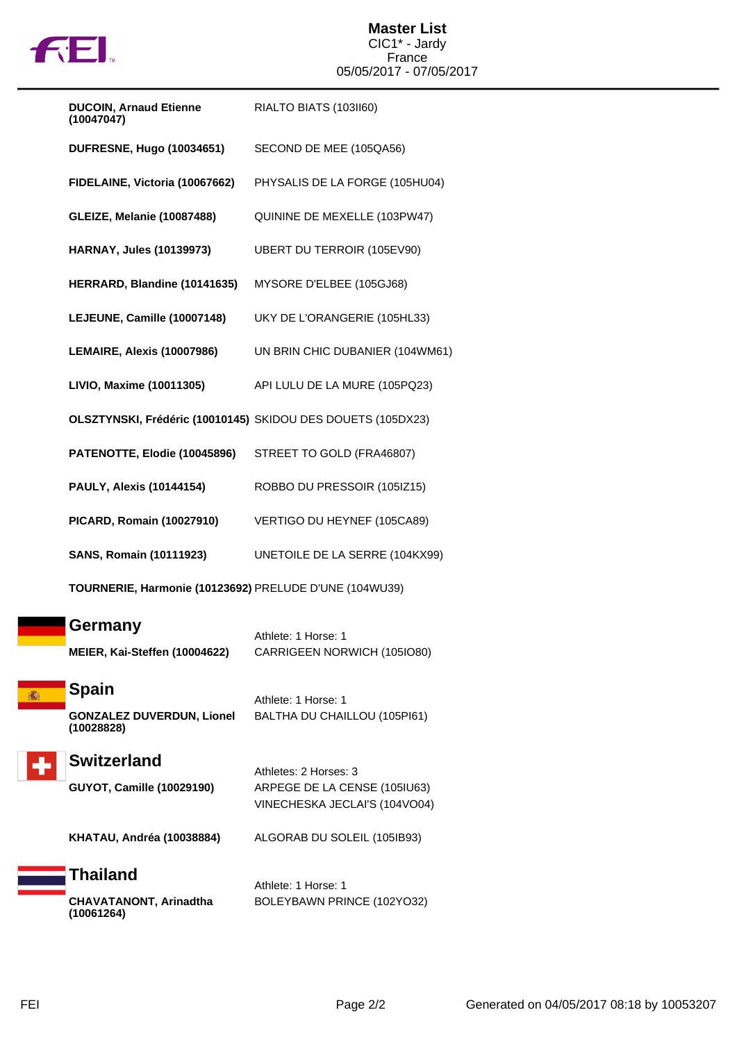

## **Master List** CIC1\* - Jardy France 05/05/2017 - 07/05/2017

| <b>DUCOIN, Arnaud Etienne</b><br>(10047047)                 | RIALTO BIATS (103II60)          |
|-------------------------------------------------------------|---------------------------------|
| <b>DUFRESNE, Hugo (10034651)</b>                            | SECOND DE MEE (105QA56)         |
| FIDELAINE, Victoria (10067662)                              | PHYSALIS DE LA FORGE (105HU04)  |
| <b>GLEIZE, Melanie (10087488)</b>                           | QUININE DE MEXELLE (103PW47)    |
| <b>HARNAY, Jules (10139973)</b>                             | UBERT DU TERROIR (105EV90)      |
| HERRARD, Blandine (10141635)                                | MYSORE D'ELBEE (105GJ68)        |
| LEJEUNE, Camille (10007148)                                 | UKY DE L'ORANGERIE (105HL33)    |
| LEMAIRE, Alexis (10007986)                                  | UN BRIN CHIC DUBANIER (104WM61) |
| LIVIO, Maxime (10011305)                                    | API LULU DE LA MURE (105PQ23)   |
| OLSZTYNSKI, Frédéric (10010145) SKIDOU DES DOUETS (105DX23) |                                 |
| PATENOTTE, Elodie (10045896)                                | STREET TO GOLD (FRA46807)       |
| <b>PAULY, Alexis (10144154)</b>                             | ROBBO DU PRESSOIR (105IZ15)     |
| <b>PICARD, Romain (10027910)</b>                            | VERTIGO DU HEYNEF (105CA89)     |
| <b>SANS, Romain (10111923)</b>                              | UNETOILE DE LA SERRE (104KX99)  |
| TOURNERIE, Harmonie (10123692) PRELUDE D'UNE (104WU39)      |                                 |
| Germany                                                     | Athlete: 1 Horse: 1             |
| MEIER, Kai-Steffen (10004622)                               | CARRIGEEN NORWICH (105IO80)     |
| <b>Spain</b>                                                | Athlete: 1 Horse: 1             |
| <b>GONZALEZ DUVERDUN, Lionel</b><br>(10028828)              | BALTHA DU CHAILLOU (105PI61)    |
| <b>Switzerland</b>                                          | Athletes: 2 Horses: 3           |
|                                                             |                                 |

**GUYOT, Camille (10029190)** ARPEGE DE LA CENSE (105IU63) VINECHESKA JECLAI'S (104VO04)

**KHATAU, Andréa (10038884)** ALGORAB DU SOLEIL (105IB93)

## **Thailand CHAVATANONT, Arinadtha (10061264)**

Athlete: 1 Horse: 1 BOLEYBAWN PRINCE (102YO32)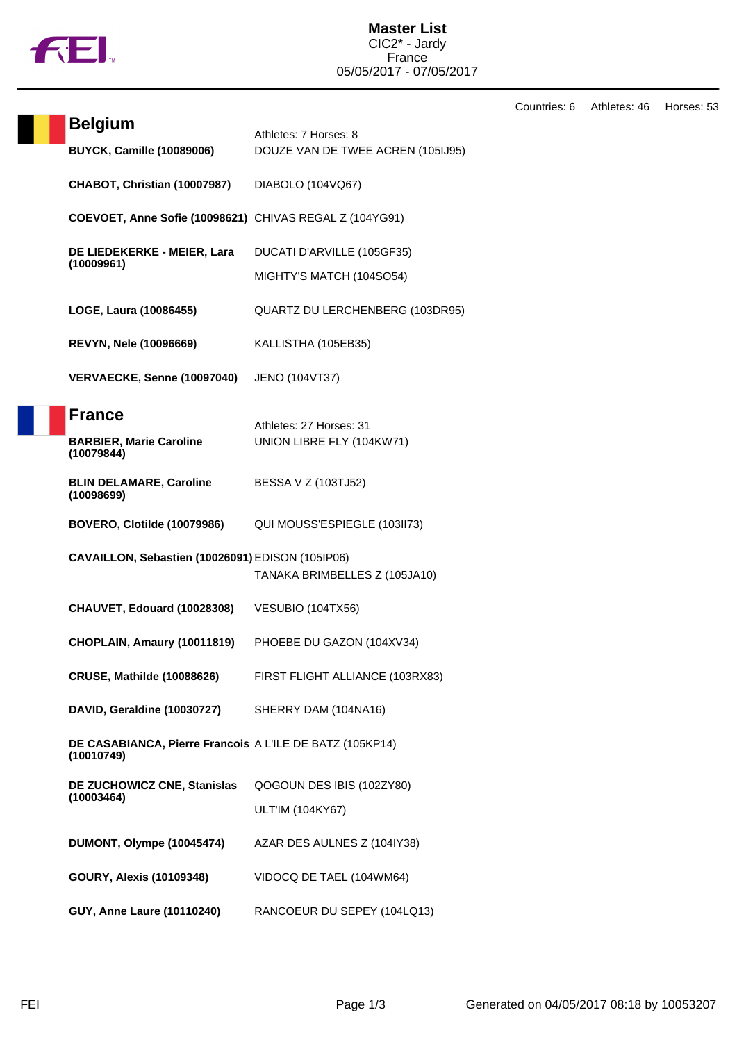

**Master List** CIC2\* - Jardy France 05/05/2017 - 07/05/2017

Countries: 6 Athletes: 46 Horses: 53

|  | <b>Belgium</b>                                                         |                                                            |
|--|------------------------------------------------------------------------|------------------------------------------------------------|
|  | <b>BUYCK, Camille (10089006)</b>                                       | Athletes: 7 Horses: 8<br>DOUZE VAN DE TWEE ACREN (105IJ95) |
|  | CHABOT, Christian (10007987)                                           | DIABOLO (104VQ67)                                          |
|  | COEVOET, Anne Sofie (10098621) CHIVAS REGAL Z (104YG91)                |                                                            |
|  | DE LIEDEKERKE - MEIER, Lara<br>(10009961)                              | DUCATI D'ARVILLE (105GF35)                                 |
|  |                                                                        | MIGHTY'S MATCH (104SO54)                                   |
|  | LOGE, Laura (10086455)                                                 | QUARTZ DU LERCHENBERG (103DR95)                            |
|  | <b>REVYN, Nele (10096669)</b>                                          | KALLISTHA (105EB35)                                        |
|  | VERVAECKE, Senne (10097040)                                            | JENO (104VT37)                                             |
|  | <b>France</b>                                                          | Athletes: 27 Horses: 31                                    |
|  | <b>BARBIER, Marie Caroline</b><br>(10079844)                           | UNION LIBRE FLY (104KW71)                                  |
|  | <b>BLIN DELAMARE, Caroline</b><br>(10098699)                           | BESSA V Z (103TJ52)                                        |
|  | BOVERO, Clotilde (10079986)                                            | QUI MOUSS'ESPIEGLE (103II73)                               |
|  | CAVAILLON, Sebastien (10026091) EDISON (105IP06)                       | TANAKA BRIMBELLES Z (105JA10)                              |
|  | CHAUVET, Edouard (10028308)                                            | VESUBIO (104TX56)                                          |
|  | CHOPLAIN, Amaury (10011819)                                            | PHOEBE DU GAZON (104XV34)                                  |
|  | <b>CRUSE, Mathilde (10088626)</b>                                      | FIRST FLIGHT ALLIANCE (103RX83)                            |
|  | DAVID, Geraldine (10030727)                                            | SHERRY DAM (104NA16)                                       |
|  | DE CASABIANCA, Pierre Francois A L'ILE DE BATZ (105KP14)<br>(10010749) |                                                            |
|  | DE ZUCHOWICZ CNE, Stanislas<br>(10003464)                              | QOGOUN DES IBIS (102ZY80)                                  |
|  |                                                                        | ULT'IM (104KY67)                                           |
|  | DUMONT, Olympe (10045474)                                              | AZAR DES AULNES Z (104IY38)                                |
|  | <b>GOURY, Alexis (10109348)</b>                                        | VIDOCQ DE TAEL (104WM64)                                   |
|  | GUY, Anne Laure (10110240)                                             | RANCOEUR DU SEPEY (104LQ13)                                |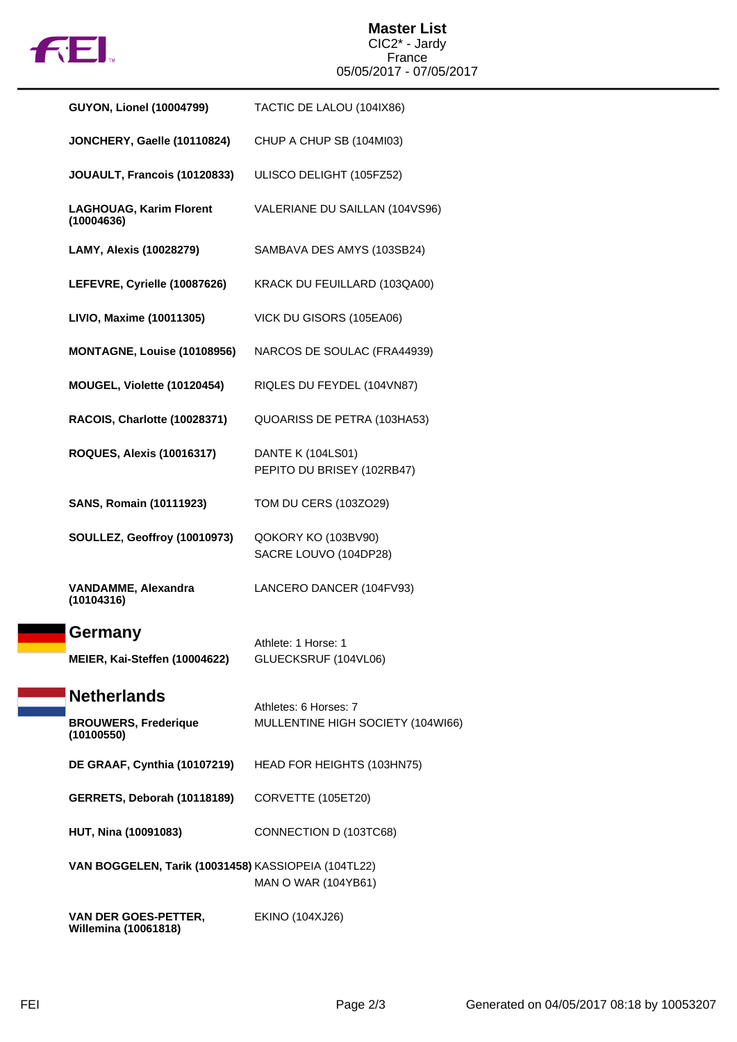

## **Master List** CIC2\* - Jardy France 05/05/2017 - 07/05/2017

| <b>GUYON, Lionel (10004799)</b>                            | TACTIC DE LALOU (104IX86)                       |
|------------------------------------------------------------|-------------------------------------------------|
| JONCHERY, Gaelle (10110824)                                | CHUP A CHUP SB (104MI03)                        |
| JOUAULT, Francois (10120833)                               | ULISCO DELIGHT (105FZ52)                        |
| <b>LAGHOUAG, Karim Florent</b><br>(10004636)               | VALERIANE DU SAILLAN (104VS96)                  |
| <b>LAMY, Alexis (10028279)</b>                             | SAMBAVA DES AMYS (103SB24)                      |
| LEFEVRE, Cyrielle (10087626)                               | KRACK DU FEUILLARD (103QA00)                    |
| LIVIO, Maxime (10011305)                                   | VICK DU GISORS (105EA06)                        |
| MONTAGNE, Louise (10108956)                                | NARCOS DE SOULAC (FRA44939)                     |
| MOUGEL, Violette (10120454)                                | RIQLES DU FEYDEL (104VN87)                      |
| RACOIS, Charlotte (10028371)                               | QUOARISS DE PETRA (103HA53)                     |
| <b>ROQUES, Alexis (10016317)</b>                           | DANTE K (104LS01)<br>PEPITO DU BRISEY (102RB47) |
| <b>SANS, Romain (10111923)</b>                             | TOM DU CERS (103ZO29)                           |
| SOULLEZ, Geoffroy (10010973)                               | QOKORY KO (103BV90)<br>SACRE LOUVO (104DP28)    |
| <b>VANDAMME, Alexandra</b><br>(10104316)                   | LANCERO DANCER (104FV93)                        |
| Germany                                                    | Athlete: 1 Horse: 1                             |
| MEIER, Kai-Steffen (10004622)                              | GLUECKSRUF (104VL06)                            |
| <b>Netherlands</b>                                         | Athletes: 6 Horses: 7                           |
| <b>BROUWERS, Frederique</b><br>(10100550)                  | MULLENTINE HIGH SOCIETY (104WI66)               |
| DE GRAAF, Cynthia (10107219)                               | HEAD FOR HEIGHTS (103HN75)                      |
| GERRETS, Deborah (10118189)                                | CORVETTE (105ET20)                              |
| HUT, Nina (10091083)                                       | CONNECTION D (103TC68)                          |
| VAN BOGGELEN, Tarik (10031458) KASSIOPEIA (104TL22)        | MAN O WAR (104YB61)                             |
| <b>VAN DER GOES-PETTER,</b><br><b>Willemina (10061818)</b> | <b>EKINO (104XJ26)</b>                          |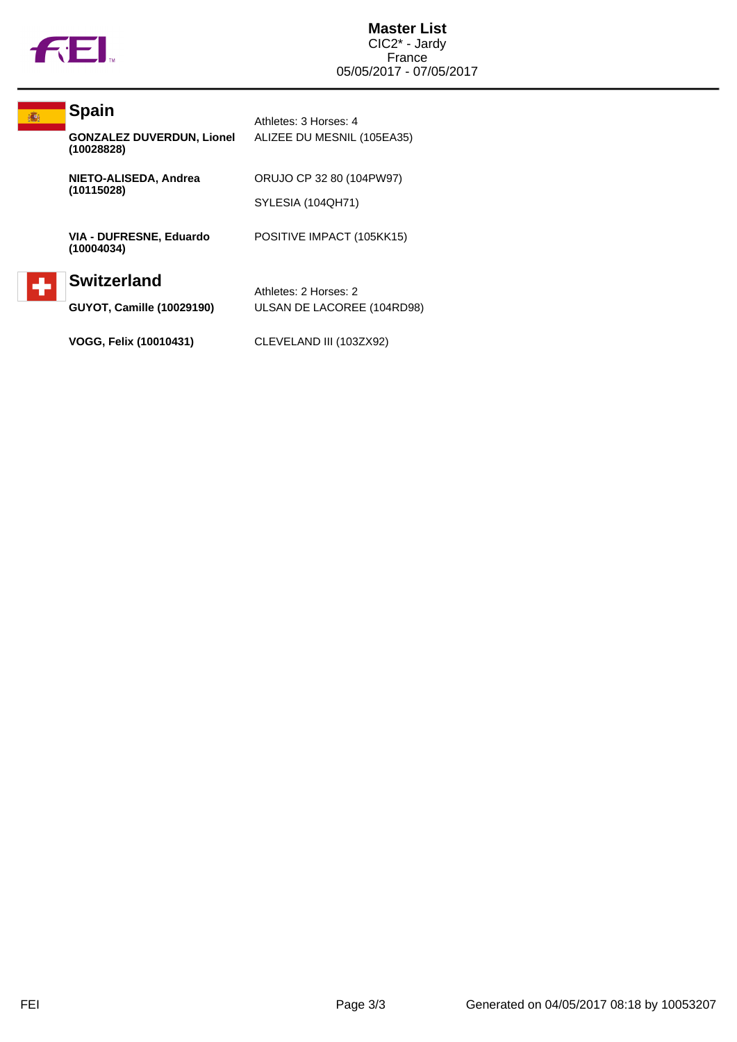

| <b>Spain</b>                                           | Athletes: 3 Horses: 4                               |
|--------------------------------------------------------|-----------------------------------------------------|
| <b>GONZALEZ DUVERDUN, Lionel</b><br>(10028828)         | ALIZEE DU MESNIL (105EA35)                          |
| NIETO-ALISEDA, Andrea                                  | ORUJO CP 32 80 (104PW97)                            |
|                                                        | SYLESIA (104QH71)                                   |
| VIA - DUFRESNE, Eduardo<br>(10004034)                  | POSITIVE IMPACT (105KK15)                           |
| <b>Switzerland</b><br><b>GUYOT, Camille (10029190)</b> | Athletes: 2 Horses: 2<br>ULSAN DE LACOREE (104RD98) |
|                                                        | (10115028)                                          |

**VOGG, Felix (10010431)** CLEVELAND III (103ZX92)